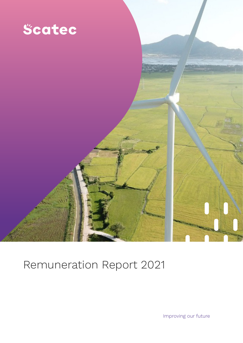

# Remuneration Report 2021

Improving our future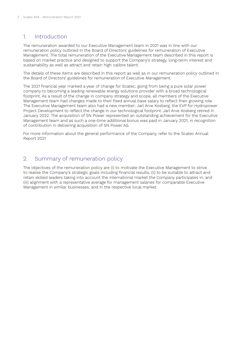## 1. Introduction

The remuneration awarded to our Executive Management team in 2021 was in line with our remuneration policy outlined in the Board of Directors' guidelines for remuneration of Executive Management. The total remuneration of the Executive Management team described in this report is based on market practice and designed to support the Company's strategy, long-term interest and sustainability as well as attract and retain high calibre talent.

The details of these items are described in this report as well as in our remuneration policy outlined in the Board of Directors' guidelines for remuneration of Executive Management.

The 2021 financial year marked a year of change for Scatec; going from being a pure solar power company to becoming a leading renewable energy solutions provider with a broad technological footprint. As a result of the change in company strategy and scope, all members of the Executive Management team had changes made to their fixed annual base salary to reflect their growing role. The Executive Management team also had a new member; Jarl Arve Kosberg, the EVP for Hydropower Project Development to reflect the change in our technological footprint. Jarl Arve Kosberg retired in January 2022. The acquisition of SN Power represented an outstanding achievement for the Executive Management team and as such a one-time additional bonus was paid in January 2021, in recognition of contribution in delivering acquisition of SN Power AS.

For more information about the general performance of the Company, refer to the Scatec Annual Report 2021

# 2. Summary of remuneration policy

The objectives of the remuneration policy are (i) to motivate the Executive Management to strive to realise the Company's strategic goals including financial results, (ii) to be suitable to attract and retain skilled leaders taking into account the international market the Company participates in, and (iii) alignment with a representative average for management salaries for comparable Executive Management in similar businesses, and in the respective local market.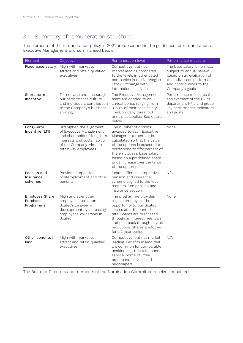# 3. Summary of remuneration structure

The elements of the remuneration policy in 2021 are described in the guidelines for remuneration of Executive Management and summarised below.

| Element                                 | Objective                                                                                                                                                             | Remuneration level                                                                                                                                                                                                                                                                                | Performance measure                                                                                                                                                 |
|-----------------------------------------|-----------------------------------------------------------------------------------------------------------------------------------------------------------------------|---------------------------------------------------------------------------------------------------------------------------------------------------------------------------------------------------------------------------------------------------------------------------------------------------|---------------------------------------------------------------------------------------------------------------------------------------------------------------------|
| Fixed base salary                       | Align with market to<br>attract and retain qualified<br>executives                                                                                                    | Competitive, but not<br>market leading compared<br>to the levels in other listed<br>companies in the Norwegian<br>Stock Exchange with<br>international activities                                                                                                                                 | The base salary is normally<br>subject to annual review<br>based on an evaluation of<br>the individual's performance<br>and contributions to the<br>Company's goals |
| Short-term<br>Incentive                 | To motivate and encourage<br>our performance culture<br>and individual's contribution<br>to the Company's business<br>strategy                                        | The Executive Management<br>team are entitled to an<br>annual bonus ranging from<br>0-50% of their base salary.<br>The Company threshold<br>principles applies. See details<br>below                                                                                                              | Performance measures the<br>achievement of the EVP's<br>department KPIs and group<br>key performance indicators<br>and goals                                        |
| Long-Term<br>Incentive (LTI)            | Strengthen the alignment<br>of Executive Management<br>and shareholders' long-term<br>interests and sustainability<br>of the Company. Aims to<br>retain key employees | The number of options<br>awarded to each Executive<br>Management member is<br>calculated so that the value<br>of the options is expected to<br>correspond to fifty percent of<br>the employee's base salary<br>based on a predefined share<br>price increase over the tenor<br>of the option plan | None                                                                                                                                                                |
| Pension and<br>Insurance<br>schemes     | Provide competitive<br>postemployment and other<br>benefits                                                                                                           | Scatec offers a competitive<br>pension and insurance<br>scheme aligned to the local<br>markets. See pension and<br>insurance section                                                                                                                                                              | N/A                                                                                                                                                                 |
| Employee Share<br>Purchase<br>Programme | Align and strengthen<br>employee interest on<br>Scatec's long-term<br>development by increasing<br>employees' ownership in<br>Scatec                                  | The programme provides<br>eligible employees the<br>opportunity to buy Scatec<br>shares at a discounted<br>rate. Shares are purchased<br>through an interest free loan<br>and paid back through payroll<br>reductions. Shares are locked<br>for a 2-year period                                   | None                                                                                                                                                                |
| Other benefits in<br>kind               | Align with market to<br>attract and retain qualified<br>executives                                                                                                    | Competitive, but not market<br>leading. Benefits in kind that<br>are common for comparable<br>position e.g., free telephone<br>service, home PC, free<br>broadband service, and<br>newspapers                                                                                                     | N/A                                                                                                                                                                 |

The Board of Directors and members of the Nomination Committee receive annual fees.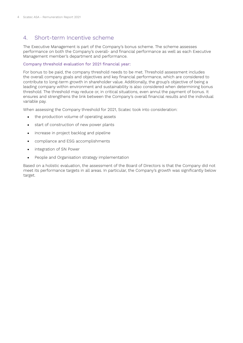# 4. Short-term Incentive scheme

The Executive Management is part of the Company's bonus scheme. The scheme assesses performance on both the Company's overall- and financial performance as well as each Executive Management member's department and performance.

### Company threshold evaluation for 2021 financial year:

For bonus to be paid, the company threshold needs to be met. Threshold assessment includes the overall company goals and objectives and key financial performance, which are considered to contribute to long-term growth in shareholder value. Additionally, the group's objective of being a leading company within environment and sustainability is also considered when determining bonus threshold. The threshold may reduce or, in critical situations, even annul the payment of bonus. It ensures and strengthens the link between the Company's overall financial results and the individual variable pay.

When assessing the Company threshold for 2021, Scatec took into consideration:

- **•** the production volume of operating assets
- **•** start of construction of new power plants
- **•** increase in project backlog and pipeline
- **•** compliance and ESG accomplishments
- **•** integration of SN Power
- **•** People and Organisation strategy implementation

Based on a holistic evaluation, the assessment of the Board of Directors is that the Company did not meet its performance targets in all areas. In particular, the Company's growth was significantly below target.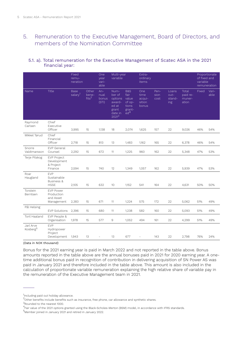# 5. Remuneration to the Executive Management, Board of Directors, and members of the Nomination Committee

## 5.1. a). Total remuneration for the Executive Management of Scatec ASA in the 2021 financial year:

|                                   |                                                                   | Fixed<br>remu-<br>neration  |                                     | One<br>vear<br>vari-<br>able  | Multi-year<br>variable                                                       |                                                                                 | Extra-<br>ordinary<br>items              |                      |                                |                                      | of fixed and<br>variable | Proportionate<br>remuneration |
|-----------------------------------|-------------------------------------------------------------------|-----------------------------|-------------------------------------|-------------------------------|------------------------------------------------------------------------------|---------------------------------------------------------------------------------|------------------------------------------|----------------------|--------------------------------|--------------------------------------|--------------------------|-------------------------------|
| Name                              | Title                                                             | Base<br>salary <sup>1</sup> | Other<br>bene-<br>fits <sup>2</sup> | An-<br>nual<br>bonus<br>(STI) | Num-<br>ber of<br>options<br>award-<br>ed at<br>grant<br>date in<br>$2021^3$ | <b>B&amp;S</b><br>fair<br>value<br>$of$ op-<br>tions<br>grant-<br>$\text{ed}^4$ | One<br>time<br>acqui-<br>sition<br>bonus | Pen-<br>sion<br>cost | Loans<br>out-<br>stand-<br>ing | Total<br>paid re-<br>muner-<br>ation | Fixed                    | Vari-<br>able                 |
| Raymond<br>Carlsen                | Chief<br>Executive<br>Officer                                     | 3,995                       | 15                                  | 1,138                         | 18                                                                           | 2,074                                                                           | 1,625                                    | 157                  | 22                             | 9,026                                | 46%                      | 54%                           |
| Mikkel Tørud                      | Chief<br>Financial<br>Officer                                     | 2,718                       | 15                                  | 813                           | 13                                                                           | 1,483                                                                           | 1,162                                    | 165                  | 22                             | 6,378                                | 46%                      | 54%                           |
| Snorre<br>Valdimarsson            | <b>EVP</b> General<br>Counsel                                     | 2,292                       | 15                                  | 672                           | 11                                                                           | 1,225                                                                           | 960                                      | 162                  | 22                             | 5,348                                | 47%                      | 53%                           |
| Terje Pilskog                     | <b>EVP Project</b><br>Development<br>& Project<br>Finance         | 2,594                       | 15                                  | 740                           | 12                                                                           | 1,349                                                                           | 1,057                                    | 162                  | 22                             | 5,939                                | 47%                      | 53%                           |
| Roar<br>Haugland                  | <b>EVP</b><br>Sustainable<br><b>Business &amp;</b><br><b>HSSE</b> | 2,105                       | 15                                  | 632                           | 10                                                                           | 1,152                                                                           | 541                                      | 164                  | 22                             | 4,631                                | 50%                      | 50%                           |
| Torstein<br>Berntsen              | <b>EVP Power</b><br>Production<br>and Asset<br>Management         | 2,383                       | 15                                  | 671                           | 11                                                                           | 1,224                                                                           | 575                                      | 172                  | 22                             | 5,062                                | 51%                      | 49%                           |
| Pål Helsing                       | <b>EVP Solutions</b>                                              | 2,396                       | 15                                  | 680                           | 11                                                                           | 1,238                                                                           | 582                                      | 160                  | 22                             | 5,093                                | 51%                      | 49%                           |
| Toril Haaland                     | EVP People &<br>Organisation                                      | 1,978                       | 15                                  | 577                           | $\mathrel{\mathsf{g}}$                                                       | 1,052                                                                           | 494                                      | 161                  | 22                             | 4,299                                | 51%                      | 49%                           |
| Jarl Arve<br>Kosberg <sup>5</sup> | <b>EVP</b><br>Hydropower<br>Project<br>Development                | 1,943                       | 13                                  | $\overline{\phantom{a}}$      | 13                                                                           | 677                                                                             | $\bar{\phantom{a}}$                      | 143                  | 22                             | 2,798                                | 76%                      | 24%                           |

(Data in NOK thousand)

Bonus for the 2021 earning year is paid in March 2022 and not reported in the table above. Bonus amounts reported in the table above are the annual bonuses paid in 2021 for 2020 earning year. A onetime additional bonus paid in recognition of contribution in delivering acquisition of SN Power AS was paid in January 2021 and therefore included in the table above. This amount is also included in the calculation of proportionate variable remuneration explaining the high relative share of variable pay in the remuneration of the Executive Management team in 2021.

<sup>&</sup>lt;sup>1</sup>Including paid out holiday allowance.

 $^2$ Other benefits include benefits such as insurance, free phone, car allowance and synthetic shares.

<sup>3</sup>Rounded to the nearest 1000.

<sup>4</sup> Fair value of the 2021 options granted using the Black-Scholes-Merton (BSM) model, in accordance with IFRS standards.

<sup>5</sup> Member joined in January 2021 and retired in January 2022.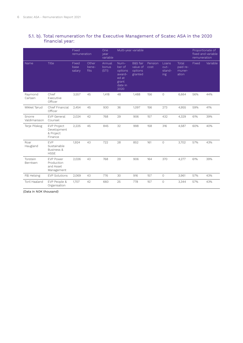## 5.1. b). Total remuneration for the Executive Management of Scatec ASA in the 2020 financial year:

|                        |                                                           | Fixed<br>remuneration   |                        | One<br>year<br>variable  | Multi-year variable                                                      |                                                       | Proportionate of<br>fixed and variable<br>remuneration |                                |                                      |       |          |
|------------------------|-----------------------------------------------------------|-------------------------|------------------------|--------------------------|--------------------------------------------------------------------------|-------------------------------------------------------|--------------------------------------------------------|--------------------------------|--------------------------------------|-------|----------|
| Name                   | Title                                                     | Fixed<br>base<br>salary | Other<br>bene-<br>fits | Annual<br>bonus<br>(STI) | Num-<br>ber of<br>options<br>award-<br>ed at<br>grant<br>date in<br>2020 | <b>B&amp;S</b> fair<br>value of<br>options<br>granted | Pension<br>cost                                        | Loans<br>out-<br>stand-<br>ing | Total<br>paid re-<br>muner-<br>ation | Fixed | Variable |
| Raymond<br>Carlsen     | Chief<br>Executive<br>Officer                             | 3,557                   | 45                     | 1,418                    | 48                                                                       | 1,488                                                 | 156                                                    | $\circ$                        | 6,664                                | 56%   | 44%      |
| Mikkel Tørud           | Chief Financial<br>Officer                                | 2,454                   | 45                     | 930                      | 36                                                                       | 1,097                                                 | 156                                                    | 273                            | 4,955                                | 59%   | 41%      |
| Snorre<br>Valdimarsson | <b>EVP</b> General<br>Counsel                             | 2,024                   | 42                     | 768                      | 29                                                                       | 906                                                   | 157                                                    | 432                            | 4,329                                | 61%   | 39%      |
| Terje Pilskog          | <b>EVP Project</b><br>Development<br>& Project<br>Finance | 2,225                   | 45                     | 845                      | 32                                                                       | 998                                                   | 158                                                    | 316                            | 4,587                                | 60%   | 40%      |
| Roar<br>Haugland       | EVP<br>Sustainable<br>Business &<br><b>HSSE</b>           | 1,924                   | 43                     | 722                      | 28                                                                       | 852                                                   | 161                                                    | $\circ$                        | 3,702                                | 57%   | 43%      |
| Torstein<br>Berntsen   | <b>EVP Power</b><br>Production<br>and Asset<br>Management | 2,026                   | 43                     | 768                      | 29                                                                       | 906                                                   | 164                                                    | 370                            | 4,277                                | 61%   | 39%      |
| Pål Helsing            | <b>EVP Solutions</b>                                      | 2,069                   | 43                     | 776                      | 30                                                                       | 916                                                   | 157                                                    | $\circ$                        | 3,961                                | 57%   | 43%      |
| Toril Haaland          | EVP People &<br>Organisation                              | 1,707                   | 42                     | 660                      | 25                                                                       | 778                                                   | 157                                                    | 0                              | 3,344                                | 57%   | 43%      |

(Data in NOK thousand)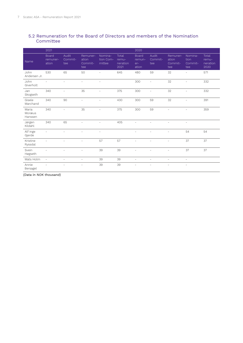## 5.2 Remuneration for the Board of Directors and members of the Nomination Committee

|                            | 2021                       |                         |                                     |                                |                                    | 2020                                     |                          |                                     |                                   |                                    |
|----------------------------|----------------------------|-------------------------|-------------------------------------|--------------------------------|------------------------------------|------------------------------------------|--------------------------|-------------------------------------|-----------------------------------|------------------------------------|
| Name                       | Board<br>remuner-<br>ation | Audit<br>Commit-<br>tee | Remuner-<br>ation<br>Commit-<br>tee | Nomina-<br>tion Com-<br>mittee | Total<br>remu-<br>neration<br>2021 | <b>Board</b><br>remun-<br>$er-$<br>ation | Audit<br>Commit-<br>tee  | Remuner-<br>ation<br>Commit-<br>tee | Nomina-<br>tion<br>Commit-<br>tee | Total<br>remu-<br>neration<br>2020 |
| John<br>Andersen Jr.       | 530                        | 65                      | 50                                  | L,                             | 645                                | 480                                      | 59                       | 32                                  | $\sim$                            | 571                                |
| John<br>Giverholt          |                            | ۳                       |                                     |                                |                                    | 300                                      | $\overline{\phantom{a}}$ | 32                                  | ÷                                 | 332                                |
| Jan<br>Skogseth            | 340                        | ÷,                      | 35                                  | $\bar{\phantom{a}}$            | 375                                | 300                                      | $\overline{\phantom{a}}$ | 32                                  | $\overline{\phantom{a}}$          | 332                                |
| Gisele<br>Marchand         | 340                        | 90                      | $\equiv$                            | L,                             | 430                                | 300                                      | 59                       | 32                                  | $\overline{\phantom{a}}$          | 391                                |
| Maria<br>Moræus<br>Hanssen | 340                        | $\equiv$                | 35                                  | $\equiv$                       | 375                                | 300                                      | 59                       | ۰                                   | ÷,                                | 359                                |
| Jørgen<br>Kildahl          | 340                        | 65                      | $\overline{\phantom{a}}$            | $\overline{\phantom{a}}$       | 405                                | $\overline{\phantom{a}}$                 |                          | $\overline{\phantom{a}}$            | $\overline{\phantom{a}}$          |                                    |
| Alf Inge<br>Gjerde         | $\equiv$                   |                         |                                     | $\equiv$                       |                                    |                                          |                          |                                     | 54                                | 54                                 |
| Kristine<br>Ryssdal        | $\sim$                     | $\sim$                  | $\overline{\phantom{a}}$            | 57                             | 57                                 | $\overline{\phantom{a}}$                 | $\equiv$                 | $\overline{\phantom{a}}$            | 37                                | 37                                 |
| Svein<br>Høgseth           |                            |                         | $\equiv$                            | 39                             | 39                                 | $\overline{a}$                           |                          | $\overline{\phantom{a}}$            | 37                                | 37                                 |
| Mats Holm                  | $\bar{a}$                  | $\equiv$                | $\equiv$                            | 39                             | 39                                 | $\overline{\phantom{a}}$                 | $\equiv$                 | $\equiv$                            | $\overline{\phantom{a}}$          |                                    |
| Annie<br>Bersagel          |                            |                         |                                     | 39                             | 39                                 |                                          |                          |                                     |                                   |                                    |

(Data in NOK thousand)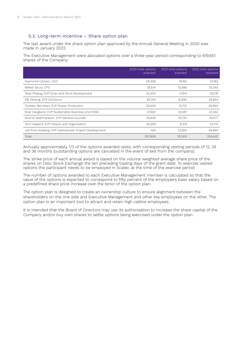### 5.3. Long-term incentive – Share option plan

The last award under the share option plan approved by the Annual General Meeting in 2020 was made in January 2022.

The Executive Management were allocated options over a three-year period corresponding to 619,651 shares of the Company.

|                                                       | 2020 total options<br>awarded | 2021 total options<br>awarded | 2022 total options<br>awarded |
|-------------------------------------------------------|-------------------------------|-------------------------------|-------------------------------|
| Raymond Carlsen, CEO                                  | 48,308                        | 18,163                        | 43,183                        |
| Mikkel Tørud, CFO                                     | 35,614                        | 12,986                        | 30,345                        |
| Terje Pilskog, EVP Solar and Wind Development         | 32,400                        | 11,814                        | 29,178                        |
| Pål Helsing, EVP Solutions                            | 29,740                        | 10,845                        | 26,844                        |
| Torstein Berntsen, EVP Power Production               | 29,400                        | 10,721                        | 26,844                        |
| Roar Haugland, EVP Sustainable Business and HSSE      | 27,663                        | 10,087                        | 23,342                        |
| Snorre Valdimarsson, EVP General Counsel              | 29,426                        | 10,730                        | 25,677                        |
| Toril Haaland, EVP People and Organisation            | 25,258                        | 9,210                         | 22,175                        |
| Jarl Arve Kosberg, EVP Hydropower Project Development | N/A                           | 12,854                        | 26,844                        |
| Total                                                 | 257,809                       | 107,410                       | 254.432                       |

Annually approximately 1/3 of the options awarded vests, with corresponding vesting periods of 12, 24 and 36 months (outstanding options are cancelled in the event of exit from the company).

The strike price of each annual award is based on the volume weighted average share price of the shares on Oslo Stock Exchange the ten preceding trading days of the grant date. To exercise vested options the participant needs to be employed in Scatec at the time of the exercise period.

The number of options awarded to each Executive Management member is calculated so that the value of the options is expected to correspond to fifty percent of the employee's base salary based on a predefined share price increase over the tenor of the option plan.

The option plan is designed to create an ownership culture to ensure alignment between the shareholders on the one side and Executive Management and other key employees on the other. The option plan is an important tool to attract and retain high calibre employees.

It is intended that the Board of Directors may use its authorisation to increase the share capital of the Company and/or buy own shares to settle options being exercised under the option plan.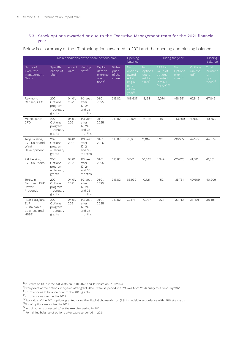#### 5.3.1 Stock options awarded or due to the Executive Management team for the 2021 financial year:

Below is a summary of the LTI stock options awarded in 2021 and the opening and closing balance.

|                                                                            | Main conditions of the share options plan         |                |                                                   |                                                            |                                           |                                                                                       | Opening<br>During the year<br>balance             |                                                                                   |                                                |                                        | <b>Closing</b><br>Balance                                  |
|----------------------------------------------------------------------------|---------------------------------------------------|----------------|---------------------------------------------------|------------------------------------------------------------|-------------------------------------------|---------------------------------------------------------------------------------------|---------------------------------------------------|-----------------------------------------------------------------------------------|------------------------------------------------|----------------------------------------|------------------------------------------------------------|
| Name of<br>Executive<br>Management<br>Team                                 | Specifi-<br>cation of<br>plan                     | Award<br>date  | Vesting<br>date <sup>6</sup>                      | <b>Expiry</b><br>date to<br>exercise<br>$op-$<br>tions $7$ | <b>Strike</b><br>price<br>of the<br>share | No. of<br>options<br>award-<br>ed at<br>begin-<br>ning<br>of the<br>year <sup>8</sup> | No. of<br>options<br>grant-<br>ed for<br>$2021^9$ | <b>B&amp;S</b> fair<br>value of<br>options<br>granted<br>in 2021<br>$(MNOK)^{10}$ | No.<br>Options<br>exer-<br>cised <sup>11</sup> | Options<br>unvest-<br>ed <sup>12</sup> | <b>Total</b><br>number<br>of<br>op-<br>tions <sup>13</sup> |
| Raymond<br>Carlsen, CEO                                                    | 2021<br>Options<br>program<br>- January<br>grants | 04.01.<br>2021 | $1/3$ vest<br>after<br>12, 24<br>and 36<br>months | 01.01.<br>2025                                             | 313.82                                    | 108,637                                                                               | 18,163                                            | 2,074                                                                             | $-58,951$                                      | 67,849                                 | 67,849                                                     |
| Mikkel Tørud,<br>CFO                                                       | 2021<br>Options<br>program<br>- January<br>grants | 04.01.<br>2021 | $1/3$ vest<br>after<br>12, 24<br>and 36<br>months | 01.01.<br>2025                                             | 313.82                                    | 79,876                                                                                | 12,986                                            | 1,483                                                                             | $-43,309$                                      | 49,553                                 | 49,553                                                     |
| Terje Pilskog,<br>EVP Solar and<br>Wind<br>Development                     | 2021<br>Options<br>program<br>- January<br>grants | 04.01.<br>2021 | $1/3$ vest<br>after<br>12, 24<br>and 36<br>months | 01.01.<br>2025                                             | 313.82                                    | 70,930                                                                                | 11,814                                            | 1,225                                                                             | $-38,165$                                      | 44,579                                 | 44,579                                                     |
| Pål Helsing,<br><b>EVP Solutions</b>                                       | 2021<br>Options<br>program<br>- January<br>grants | 04.01.<br>2021 | $1/3$ vest<br>after<br>12, 24<br>and 36<br>months | 01.01.<br>2025                                             | 313.82                                    | 51,161                                                                                | 10,845                                            | 1,349                                                                             | $-20,625$                                      | 41,381                                 | 41,381                                                     |
| Torstein<br>Berntsen, EVP<br>Power<br>Production                           | 2021<br>Options<br>program<br>- January<br>grants | 04.01.<br>2021 | $1/3$ vest<br>after<br>12, 24<br>and 36<br>months | 01.01.<br>2025                                             | 313.82                                    | 65,939                                                                                | 10,721                                            | 1,152                                                                             | $-35,751$                                      | 40,909                                 | 40,909                                                     |
| Roar Haugland,<br><b>FVP</b><br>Sustainable<br>Business and<br><b>HSSE</b> | 2021<br>Options<br>program<br>- January<br>grants | 04.01.<br>2021 | $1/3$ vest<br>after<br>12, 24<br>and 36<br>months | 01.01.<br>2025                                             | 313.82                                    | 62,114                                                                                | 10,087                                            | 1,224                                                                             | $-33,710$                                      | 38,491                                 | 38,491                                                     |

 $61/3$  vests on 01.01.2022, 1/3 vests on 01.01.2023 and 1/3 vests on 01.01.2024

<sup>7</sup>Expiry date of the options in 5 years after grant date. Exercise period in 2021 was from 29 January to 3 February 2021

<sup>&</sup>lt;sup>8</sup>No. of options in balance prior to the 2021 grants

<sup>&</sup>lt;sup>9</sup>No. of options awarded in 2021

<sup>&</sup>lt;sup>10</sup>Fair value of the 2021 options granted using the Black-Scholes-Merton (BSM) model, in accordance with IFRS standards

<sup>&</sup>lt;sup>11</sup>No. of options excercised in 2021

 $^{12}$ No. of options unvested after the exercise period in 2021

<sup>13</sup>Remaining balance of options after exercise period in 2021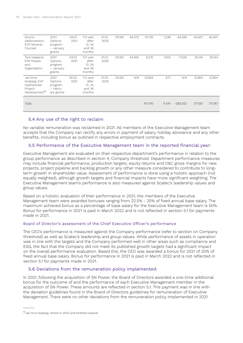| Snorre<br>Valdimarsson,<br>EVP General<br>Counsel                               | 2021<br>Options<br>program<br>- January<br>grants    | 04.01.<br>2021 | $1/3$ vest<br>after<br>12, 24<br>and 36<br>months | 01.01.<br>2025 | 313.82 | 64,072 | 10,730  | 1,238  | $-34,395$  | 40,407  | 40,407  |
|---------------------------------------------------------------------------------|------------------------------------------------------|----------------|---------------------------------------------------|----------------|--------|--------|---------|--------|------------|---------|---------|
| Toril Haaland,<br>EVP People<br>and<br>Organisation                             | 2021<br>Options<br>program<br>- January<br>grants    | 04.01.<br>2021 | $1/3$ vest<br>after<br>12, 24<br>and 36<br>months | 01.01.<br>2025 | 313.82 | 43.450 | 9,210   | 1,052  | $-17,516$  | 35,144  | 35,144  |
| Jarl Arve<br>Kosberg, EVP<br>Hydropower<br>Project<br>Development <sup>14</sup> | 2021<br>Options<br>program<br>- Febru-<br>ary grants | 24.02.<br>2021 | $1/3$ vest<br>after<br>12, 24<br>and 36<br>months | 01.01.<br>2025 | 313.82 | N/A    | 12,854  | 677    | N/A        | 12,854  | 12,854  |
| Total                                                                           |                                                      |                |                                                   |                |        |        | 107,410 | 11,474 | $-282,422$ | 371,167 | 371,167 |

### 5.4 Any use of the right to reclaim

No variable remuneration was reclaimed in 2021. All members of the Executive Management team accepts that the Company can rectify any errors in payment of salary, holiday allowance and any other benefits, including bonus as outlined in respective employment contracts.

## 5.5 Performance of the Executive Management team in the reported financial year:

Executive Management are evaluated on their respective department's performance in relation to the group performance as described in section 4, Company threshold. Department performance measures may include financial performance, production targets, equity returns and D&C gross margins for new projects, project pipeline and backlog growth or any other measure considered to contribute to longterm growth in shareholder value. Assessment of performance is done using a holistic approach (not equally weighted), although growth targets and financial impacts have more significant weighting. The Executive Management team's performance is also measured against Scatec's leadership values and group values.

Based on a holistic evaluation of their performance in 2021, the members of the Executive Management team were awarded bonuses ranging from 22.5% - 25% of fixed annual base salary. The maximum achieved bonus as a percentage of base salary for the Executive Management team is 50%. Bonus for performance in 2021 is paid in March 2022 and is not reflected in section 5.1 for payments made in 2021.

#### Board of Director's assessment of the Chief Executive Officer's performance

The CEO's performance is measured against the Company performance (refer to section on Company threshold) as well as Scatec's leadership and group values. While performance of assets in operation was in line with the targets and the Company performed well in other areas such as compliance and ESG, the fact that the Company did not meet its published growth targets had a significant impact on the overall performance evaluation. Based this, the CEO was awarded a bonus for 2021 of 20% of fixed annual base salary. Bonus for performance in 2021 is paid in March 2022 and is not reflected in section 5.1 for payments made in 2021.

### 5.6 Deviations from the remuneration policy implemented:

In 2021, following the acquisition of SN Power, the Board of Directors awarded a one-time additional bonus for the outcome of and the performance of each Executive Management member in the acquisition of SN Power. These amounts are reflected in section 5.1. This payment was in line with the deviation guidelines found in the Board of Directors guidelines for remuneration of Executive Management. There were no other deviations from the remuneration policy implemented in 2021.

<sup>14</sup>Jarl Arve Kosberg, retired in 2022 and forfeited awards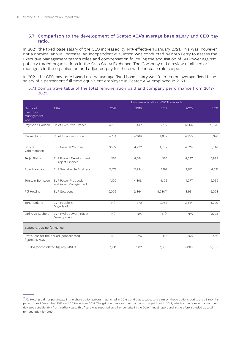## 5.7 Comparison to the development of Scatec ASA's average base salary and CEO pay ratio.

In 2021, the fixed base salary of the CEO increased by 14% effective 1 January 2021. This was, however, not a nominal annual increase. An independent evaluation was conducted by Korn Ferry to assess the Executive Management team's roles and compensation following the acquisition of SN Power against publicly traded organisations in the Oslo Stock Exchange. The Company did a review of all senior managers in the organisation and adjusted pay for those with increase role scope.

In 2021, the CEO pay ratio based on the average fixed base salary was 3 times the average fixed base salary of a permanent full time equivalent employee in Scatec ASA employed in 2021.

#### 5.7.1 Comparative table of the total remuneration paid and company performance from 2017-2021.

|                                            |                                              |       |       | Total remuneration (NOK Thousand) |        |       |
|--------------------------------------------|----------------------------------------------|-------|-------|-----------------------------------|--------|-------|
| Name of<br>Executive<br>Management<br>team | Title                                        | 2017  | 2018  | 2019                              | 2020   | 2021  |
| Raymond Carlsen                            | Chief Executive Officer                      | 4,376 | 5,447 | 5,762                             | 6,664  | 9,026 |
| Mikkel Tørud                               | Chief Financial Officer                      | 4,734 | 4,969 | 4,832                             | 4,955  | 6,378 |
| Snorre<br>Valdimarsson                     | EVP General Counsel                          | 3,977 | 4,232 | 4,202                             | 4,329  | 5,348 |
| Terje Pilskog                              | EVP Project Development<br>& Project Finance | 4,252 | 4,554 | 4,370                             | 4,587  | 5,939 |
| Roar Haugland                              | EVP Sustainable Business<br>& HSSE           | 2,477 | 2,924 | 3,197                             | 3,702  | 4,631 |
| Torstein Berntsen                          | EVP Power Production<br>and Asset Management | 4,120 | 4,308 | 4,196                             | 4,277  | 5,062 |
| Pål Helsing                                | <b>EVP Solutions</b>                         | 2,006 | 2,864 | $9,230^{15}$                      | 3,961  | 5,093 |
| <b>Toril Haaland</b>                       | EVP People &<br>Organisation                 | N/A   | 870   | 2,068                             | 3,344  | 4,299 |
| Jarl Arve Kosberg                          | EVP Hydropower Project<br>Development        | N/A   | N/A   | N/A                               | N/A    | 2798  |
| Scatec Group performance                   |                                              |       |       |                                   |        |       |
| figures) MNOK                              | Profit/loss for the period (consolidated     | 438   | 226   | 155                               | $-368$ | 456   |
| EBITDA (consolidated figures) MNOK         |                                              | 1,241 | 902   | 1,386                             | 2,069  | 2,903 |

<sup>&</sup>lt;sup>15</sup>Pål Helsing did not participate in the share option program launched in 2016 but did as a substitute earn synthetic options during the 36 months period from 1 December 2015 until 30 November 2018. The gain on these synthetic options was paid out in 2019, which is the reason this number deviates considerably from earlier years. This figure was reported as other benefits in the 2019 Annual report and is therefore included as total remuneration for 2019.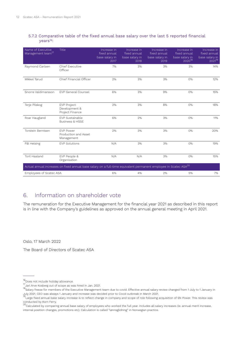### 5.7.2 Comparative table of the fixed annual base salary over the last 5 reported financial years<sup>16</sup>:

| Name of Executive<br>Management team <sup>17</sup> | Title                                                                                                                        | Increase in<br>fixed annual<br>base salary in<br>2017 | Increase in<br>fixed annual<br>base salary in<br>2018 | Increase in<br>fixed annual<br>base salary in<br>2019 | Increase in<br>fixed annual<br>base salary in<br>$2020^{18}$ | Increase in<br>fixed annual<br>base salary in<br>$2021^{19}$ |
|----------------------------------------------------|------------------------------------------------------------------------------------------------------------------------------|-------------------------------------------------------|-------------------------------------------------------|-------------------------------------------------------|--------------------------------------------------------------|--------------------------------------------------------------|
| Raymond Carlsen                                    | <b>Chief Executive</b><br>Officer                                                                                            | 7%                                                    | 3%                                                    | 3%                                                    | 3%                                                           | 14%                                                          |
| Mikkel Tørud                                       | Chief Financial Officer                                                                                                      | 2%                                                    | 3%                                                    | 3%                                                    | 0%                                                           | 12%                                                          |
| Snorre Valdimarsson                                | <b>EVP General Counsel</b>                                                                                                   | 6%                                                    | 3%                                                    | 9%                                                    | 0%                                                           | 15%                                                          |
| Terje Pilskog                                      | <b>EVP Project</b><br>Development &<br>Project Finance                                                                       | 2%                                                    | 3%                                                    | 8%                                                    | 0%                                                           | 18%                                                          |
| Roar Haugland                                      | EVP Sustainable<br><b>Business &amp; HSSE</b>                                                                                | 6%                                                    | 2%                                                    | 3%                                                    | 0%                                                           | 11%                                                          |
| Torstein Berntsen                                  | <b>FVP Power</b><br>Production and Asset<br>Management                                                                       | 2%                                                    | 3%                                                    | 3%                                                    | 0%                                                           | 20%                                                          |
| Pål Helsing                                        | <b>EVP Solutions</b>                                                                                                         | N/A                                                   | 3%                                                    | 3%                                                    | 0%                                                           | 19%                                                          |
| <b>Toril Haaland</b>                               | EVP People &<br>Organisation                                                                                                 | N/A                                                   | N/A                                                   | 3%                                                    | 0%                                                           | 15%                                                          |
|                                                    | Actual annual increases on fixed annual base salary on a full-time equivalent permanent employee in Scatec ASA <sup>20</sup> |                                                       |                                                       |                                                       |                                                              |                                                              |
| Employees of Scatec ASA                            |                                                                                                                              | 6%                                                    | 4%                                                    | 2%                                                    | 5%                                                           | 7%                                                           |

# 6. Information on shareholder vote

The remuneration for the Executive Management for the financial year 2021 as described in this report is in line with the Company's guidelines as approved on the annual general meeting in April 2021.

Oslo, 17 March 2022

The Board of Directors of Scatec ASA

<sup>&</sup>lt;sup>16</sup>Does not include holiday allowance.

<sup>&</sup>lt;sup>17</sup>Jarl Arve Kosberg out of scope as was hired in Jan. 2021.

<sup>18</sup>Salary freeze for members of the Executive Management team due to covid. Effective annual salary review changed from 1 July to 1 January in July 2021. CEO was always 1 January and increase was decided prior to Covid outbreak in March 2021.

<sup>&</sup>lt;sup>19</sup>Large fixed annual base salary increase is to reflect change in company and scope of role following acquisition of SN Power. This review was

conducted by Korn Ferry.<br><sup>20</sup>Calculated by comparing annual base salary of employees who worked the full year. Includes all salary increases (ie. annual merit increase, internal position changes, promotions etc). Calculation is called "lønnsglidning" in Norwegian practice.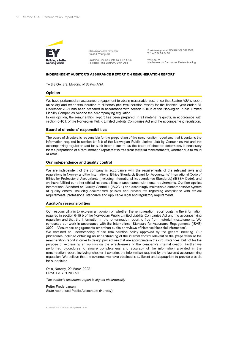

Statsautoriserte revisorer Ernst & Young AS

Dronning Eufemias gate 6a, 0191 Oslo Postboks 1156 Sentrum, 0107 Oslo

Foretaksregisteret: NO 976 389 387 MVA TIf: +47 24 00 24 00

www.ey.no Medlemmer av Den norske Revisorforening

#### **INDEPENDENT AUDITOR'S ASSURANCE REPORT ON REMUNERATION REPORT**

To the General Meeting of Scatec ASA

#### Opinion

We have performed an assurance engagement to obtain reasonable assurance that Scatec ASA's report on salary and other remuneration to directors (the remuneration report) for the financial year ended 31 December 2021 has been prepared in accordance with section 6-16 b of the Norwegian Public Limited Liability Companies Act and the accompanying regulation.

In our opinion, the remuneration report has been prepared, in all material respects, in accordance with section 6-16 b of the Norwegian Public Limited Liability Companies Act and the accompanying regulation.

#### Board of directors' responsibilities

The board of directors is responsible for the preparation of the remuneration report and that it contains the information required in section 6-16 b of the Norwegian Public Limited Liability Companies Act and the accompanying regulation and for such internal control as the board of directors determines is necessary for the preparation of a remuneration report that is free from material misstatements, whether due to fraud or error.

#### Our independence and quality control

We are independent of the company in accordance with the requirements of the relevant laws and regulations in Norway and the International Ethics Standards Board for Accountants' International Code of Ethics for Professional Accountants (including International Independence Standards) (IESBA Code), and we have fulfilled our other ethical responsibilities in accordance with these requirements. Our firm applies International Standard on Quality Control 1 (ISQC 1) and accordingly maintains a comprehensive system of quality control including documented policies and procedures regarding compliance with ethical requirements, professional standards and applicable legal and regulatory requirements.

#### **Auditor's responsibilities**

Our responsibility is to express an opinion on whether the remuneration report contains the information required in section 6-16 b of the Norwegian Public Limited Liability Companies Act and the accompanying regulation and that the information in the remuneration report is free from material misstatements. We conducted our work in accordance with the International Standard for Assurance Engagements (ISAE) 3000 - "Assurance engagements other than audits or reviews of historical financial information".

We obtained an understanding of the remuneration policy approved by the general meeting. Our procedures included obtaining an understanding of the internal control relevant to the preparation of the remuneration report in order to design procedures that are appropriate in the circumstances, but not for the purpose of expressing an opinion on the effectiveness of the company's internal control. Further we performed procedures to ensure completeness and accuracy of the information provided in the remuneration report, including whether it contains the information required by the law and accompanying regulation. We believe that the evidence we have obtained is sufficient and appropriate to provide a basis for our opinion.

Oslo, Norway, 29 March 2022 ERNST & YOUNG AS

The auditor's assurance report is signed electronically

Petter Frode Larsen State Authorised Public Accountant (Norway)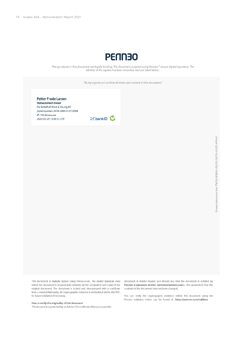

The signatures in this document are legally binding. The document is signed using Penneo<sup>166</sup> secure digital signature. The identity of the signers has been recorded, and are listed below.

"By my signature I confirm all dates and content in this document."



This document is digitally signed using Penneo.com. The digital signature data within the document is secured and validated by the computed hash value of the original document. The document is locked and timestamped with a certificate from a trusted third party. All cryptographic evidence is embedded within this PDF, for future validation if necessary.

#### How to verify the originality of this document

This document is protected by an Adobe CDS certificate. When you open the

document in Adobe Reader, you should see, that the document is certified by Penneo e-signature service <penneo@penneo.com>. This guarantees that the contents of the document have not been changed.

You can verify the cryptographic evidence within this document using the Penneo validator, which can be found at https://penneo.com/validate